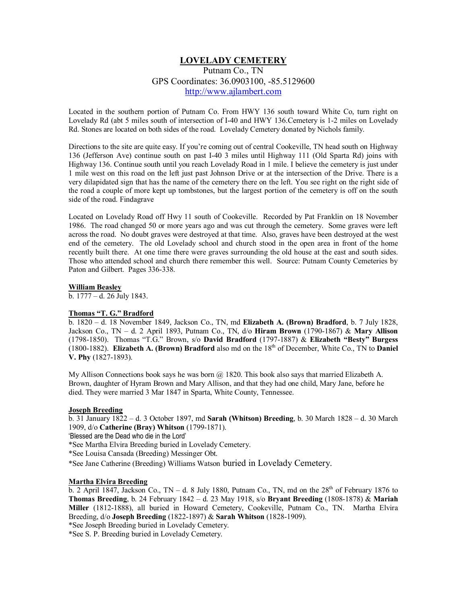# **LOVELADY CEMETERY**

Putnam Co., TN GPS Coordinates: 36.0903100, -85.5129600 [http://www.ajlambert.com](http://www.ajlambert.com/)

Located in the southern portion of Putnam Co. From HWY 136 south toward White Co, turn right on Lovelady Rd (abt 5 miles south of intersection of I-40 and HWY 136.Cemetery is 1-2 miles on Lovelady Rd. Stones are located on both sides of the road. Lovelady Cemetery donated by Nichols family.

Directions to the site are quite easy. If you're coming out of central Cookeville, TN head south on Highway 136 (Jefferson Ave) continue south on past I-40 3 miles until Highway 111 (Old Sparta Rd) joins with Highway 136. Continue south until you reach Lovelady Road in 1 mile. I believe the cemetery is just under 1 mile west on this road on the left just past Johnson Drive or at the intersection of the Drive. There is a very dilapidated sign that has the name of the cemetery there on the left. You see right on the right side of the road a couple of more kept up tombstones, but the largest portion of the cemetery is off on the south side of the road. Findagrave

Located on Lovelady Road off Hwy 11 south of Cookeville. Recorded by Pat Franklin on 18 November 1986. The road changed 50 or more years ago and was cut through the cemetery. Some graves were left across the road. No doubt graves were destroyed at that time. Also, graves have been destroyed at the west end of the cemetery. The old Lovelady school and church stood in the open area in front of the home recently built there. At one time there were graves surrounding the old house at the east and south sides. Those who attended school and church there remember this well. Source: Putnam County Cemeteries by Paton and Gilbert. Pages 336-338.

#### **William Beasley**

b. 1777 – d. 26 July 1843.

### **Thomas "T. G." Bradford**

b. 1820 – d. 18 November 1849, Jackson Co., TN, md **Elizabeth A. (Brown) Bradford**, b. 7 July 1828, Jackson Co., TN – d. 2 April 1893, Putnam Co., TN, d/o **Hiram Brown** (1790-1867) & **Mary Allison** (1798-1850). Thomas "T.G." Brown, s/o **David Bradford** (1797-1887) & **Elizabeth "Besty" Burgess**  $(1800-1882)$ . **Elizabeth A. (Brown) Bradford** also md on the  $18<sup>th</sup>$  of December, White Co., TN to **Daniel V. Phy** (1827-1893).

My Allison Connections book says he was born  $\omega$  1820. This book also says that married Elizabeth A. Brown, daughter of Hyram Brown and Mary Allison, and that they had one child, Mary Jane, before he died. They were married 3 Mar 1847 in Sparta, White County, Tennessee.

#### **Joseph Breeding**

b. 31 January 1822 – d. 3 October 1897, md **Sarah (Whitson) Breeding**, b. 30 March 1828 – d. 30 March 1909, d/o **Catherine (Bray) Whitson** (1799-1871).

'Blessed are the Dead who die in the Lord'

\*See Martha Elvira Breeding buried in Lovelady Cemetery.

\*See Louisa Cansada (Breeding) Messinger Obt.

\*See Jane Catherine (Breeding) Williams Watson buried in Lovelady Cemetery.

#### **Martha Elvira Breeding**

b. 2 April 1847, Jackson Co., TN – d. 8 July 1880, Putnam Co., TN, md on the  $28<sup>th</sup>$  of February 1876 to **Thomas Breeding**, b. 24 February 1842 – d. 23 May 1918, s/o **Bryant Breeding** (1808-1878) & **Mariah Miller** (1812-1888), all buried in Howard Cemetery, Cookeville, Putnam Co., TN. Martha Elvira Breeding, d/o **Joseph Breeding** (1822-1897) & **Sarah Whitson** (1828-1909).

\*See Joseph Breeding buried in Lovelady Cemetery.

\*See S. P. Breeding buried in Lovelady Cemetery.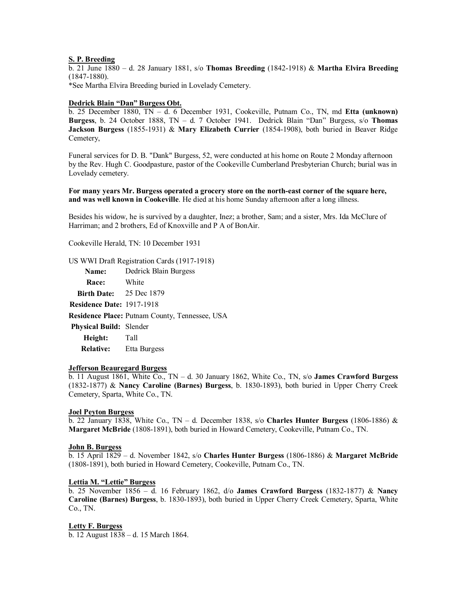#### **S. P. Breeding**

b. 21 June 1880 – d. 28 January 1881, s/o **Thomas Breeding** (1842-1918) & **Martha Elvira Breeding** (1847-1880).

\*See Martha Elvira Breeding buried in Lovelady Cemetery.

#### **Dedrick Blain "Dan" Burgess Obt.**

b. 25 December 1880, TN – d. 6 December 1931, Cookeville, Putnam Co., TN, md **Etta (unknown) Burgess**, b. 24 October 1888, TN – d. 7 October 1941. Dedrick Blain "Dan" Burgess, s/o **Thomas Jackson Burgess** (1855-1931) & **Mary Elizabeth Currier** (1854-1908), both buried in Beaver Ridge Cemetery,

Funeral services for D. B. "Dank" Burgess, 52, were conducted at his home on Route 2 Monday afternoon by the Rev. Hugh C. Goodpasture, pastor of the Cookeville Cumberland Presbyterian Church; burial was in Lovelady cemetery.

**For many years Mr. Burgess operated a grocery store on the north-east corner of the square here, and was well known in Cookeville**. He died at his home Sunday afternoon after a long illness.

Besides his widow, he is survived by a daughter, Inez; a brother, Sam; and a sister, Mrs. Ida McClure of Harriman; and 2 brothers, Ed of Knoxville and P A of BonAir.

Cookeville Herald, TN: 10 December 1931

US WWI Draft Registration Cards (1917-1918)

**Name:** Dedrick Blain Burgess

**Race:** White

**Birth Date:** 25 Dec 1879

**Residence Date:** 1917-1918

**Residence Place:** Putnam County, Tennessee, USA

**Physical Build:** Slender **Height:** Tall

**Relative:** Etta Burgess

#### **Jefferson Beauregard Burgess**

b. 11 August 1861, White Co., TN – d. 30 January 1862, White Co., TN, s/o **James Crawford Burgess** (1832-1877) & **Nancy Caroline (Barnes) Burgess**, b. 1830-1893), both buried in Upper Cherry Creek Cemetery, Sparta, White Co., TN.

#### **Joel Peyton Burgess**

b. 22 January 1838, White Co., TN – d. December 1838, s/o **Charles Hunter Burgess** (1806-1886) & **Margaret McBride** (1808-1891), both buried in Howard Cemetery, Cookeville, Putnam Co., TN.

### **John B. Burgess**

b. 15 April 1829 – d. November 1842, s/o **Charles Hunter Burgess** (1806-1886) & **Margaret McBride** (1808-1891), both buried in Howard Cemetery, Cookeville, Putnam Co., TN.

### **Lettia M. "Lettie" Burgess**

b. 25 November 1856 – d. 16 February 1862, d/o **James Crawford Burgess** (1832-1877) & **Nancy Caroline (Barnes) Burgess**, b. 1830-1893), both buried in Upper Cherry Creek Cemetery, Sparta, White Co., TN.

### **Letty F. Burgess**

b. 12 August 1838 – d. 15 March 1864.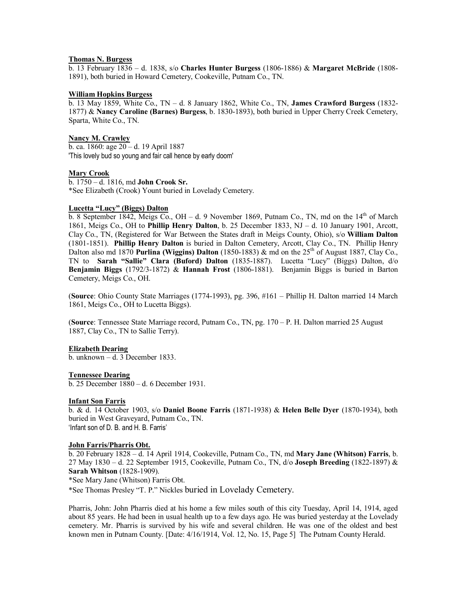#### **Thomas N. Burgess**

b. 13 February 1836 – d. 1838, s/o **Charles Hunter Burgess** (1806-1886) & **Margaret McBride** (1808- 1891), both buried in Howard Cemetery, Cookeville, Putnam Co., TN.

#### **William Hopkins Burgess**

b. 13 May 1859, White Co., TN – d. 8 January 1862, White Co., TN, **James Crawford Burgess** (1832- 1877) & **Nancy Caroline (Barnes) Burgess**, b. 1830-1893), both buried in Upper Cherry Creek Cemetery, Sparta, White Co., TN.

## **Nancy M. Crawley**

b. ca. 1860: age 20 – d. 19 April 1887 'This lovely bud so young and fair call hence by early doom'

#### **Mary Crook**

b. 1750 – d. 1816, md **John Crook Sr.** \*See Elizabeth (Crook) Yount buried in Lovelady Cemetery.

#### **Lucetta "Lucy" (Biggs) Dalton**

b. 8 September 1842, Meigs Co., OH – d. 9 November 1869, Putnam Co., TN, md on the  $14<sup>th</sup>$  of March 1861, Meigs Co., OH to **Phillip Henry Dalton**, b. 25 December 1833, NJ – d. 10 January 1901, Arcott, Clay Co., TN, (Registered for War Between the States draft in Meigs County, Ohio), s/o **William Dalton** (1801-1851). **Phillip Henry Dalton** is buried in Dalton Cemetery, Arcott, Clay Co., TN. Phillip Henry Dalton also md 1870 **Purlina (Wiggins) Dalton** (1850-1883) & md on the 25th of August 1887, Clay Co., TN to **Sarah "Sallie" Clara (Buford) Dalton** (1835-1887). Lucetta "Lucy" (Biggs) Dalton, d/o **Benjamin Biggs** (1792/3-1872) & **Hannah Frost** (1806-1881). Benjamin Biggs is buried in Barton Cemetery, Meigs Co., OH.

(**Source**: Ohio County State Marriages (1774-1993), pg. 396, #161 – Phillip H. Dalton married 14 March 1861, Meigs Co., OH to Lucetta Biggs).

(**Source**: Tennessee State Marriage record, Putnam Co., TN, pg. 170 – P. H. Dalton married 25 August 1887, Clay Co., TN to Sallie Terry).

#### **Elizabeth Dearing**

 $\overline{b}$ . unknown – d. 3 December 1833.

#### **Tennessee Dearing**

b. 25 December 1880 – d. 6 December 1931.

#### **Infant Son Farris**

b. & d. 14 October 1903, s/o **Daniel Boone Farris** (1871-1938) & **Helen Belle Dyer** (1870-1934), both buried in West Graveyard, Putnam Co., TN. 'Infant son of D. B. and H. B. Farris'

#### **John Farris/Pharris Obt.**

b. 20 February 1828 – d. 14 April 1914, Cookeville, Putnam Co., TN, md **Mary Jane (Whitson) Farris**, b. 27 May 1830 – d. 22 September 1915, Cookeville, Putnam Co., TN, d/o **Joseph Breeding** (1822-1897) & **Sarah Whitson** (1828-1909).

\*See Mary Jane (Whitson) Farris Obt.

\*See Thomas Presley "T. P." Nickles buried in Lovelady Cemetery.

Pharris, John: John Pharris died at his home a few miles south of this city Tuesday, April 14, 1914, aged about 85 years. He had been in usual health up to a few days ago. He was buried yesterday at the Lovelady cemetery. Mr. Pharris is survived by his wife and several children. He was one of the oldest and best known men in Putnam County. [Date: 4/16/1914, Vol. 12, No. 15, Page 5] The Putnam County Herald.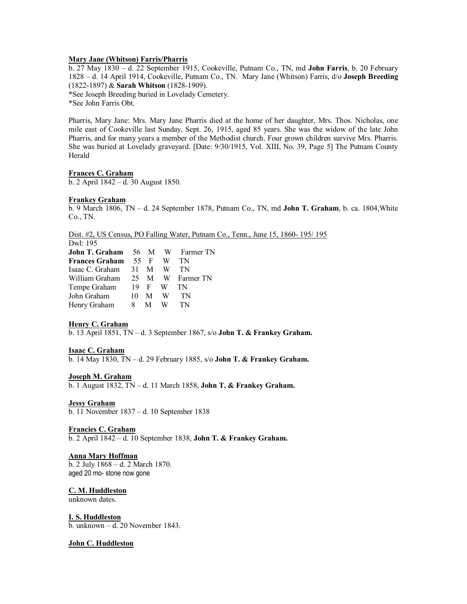#### **Mary Jane (Whitson) Farris/Pharris**

b. 27 May 1830 – d. 22 September 1915, Cookeville, Putnam Co., TN, md **John Farris**, b. 20 February 1828 – d. 14 April 1914, Cookeville, Putnam Co., TN. Mary Jane (Whitson) Farris, d/o **Joseph Breeding** (1822-1897) & **Sarah Whitson** (1828-1909).

\*See Joseph Breeding buried in Lovelady Cemetery.

\*See John Farris Obt.

Pharris, Mary Jane: Mrs. Mary Jane Pharris died at the home of her daughter, Mrs. Thos. Nicholas, one mile east of Cookeville last Sunday, Sept. 26, 1915, aged 85 years. She was the widow of the late John Pharris, and for many years a member of the Methodist church. Four grown children survive Mrs. Pharris. She was buried at Lovelady graveyard. [Date: 9/30/1915, Vol. XIII, No. 39, Page 5] The Putnam County Herald

#### **Frances C. Graham**

b. 2 April 1842 – d. 30 August 1850.

#### **Frankey Graham**

b. 9 March 1806, TN – d. 24 September 1878, Putnam Co., TN, md **John T. Graham**, b. ca. 1804,White Co., TN.

Dist. #2, US Census, PO Falling Water, Putnam Co., Tenn., June 15, 1860- 195/ 195

Dwl: 195 **John T. Graham** 56 M W Farmer TN **Frances Graham** 55 F W TN Isaac C. Graham 31 M W TN William Graham 25 M W Farmer TN Tempe Graham 19 F W TN John Graham 10 M W TN Henry Graham 8 M W TN

#### **Henry C. Graham**

b. 13 April 1851, TN – d. 3 September 1867, s/o **John T. & Frankey Graham.**

#### **Isaac C. Graham**

b. 14 May 1830, TN – d. 29 February 1885, s/o **John T. & Frankey Graham.**

#### **Joseph M. Graham**

b. 1 August 1832, TN – d. 11 March 1858, **John T. & Frankey Graham.**

#### **Jessy Graham**

b. 11 November 1837 – d. 10 September 1838

# **Francies C. Graham**

b. 2 April 1842 – d. 10 September 1838, **John T. & Frankey Graham.**

# **Anna Mary Hoffman**

b. 2 July 1868 – d. 2 March 1870. aged 20 mo- stone now gone

# **C. M. Huddleston**

unknown dates.

# **I. S. Huddleston**

b. unknown – d. 20 November 1843.

#### **John C. Huddleston**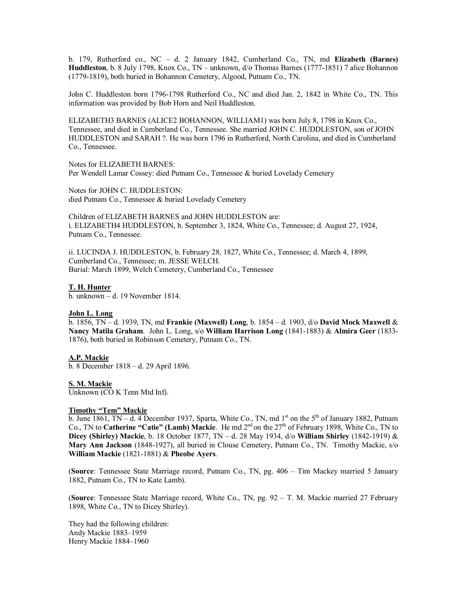b. 179, Rutherford co., NC – d. 2 January 1842, Cumberland Co., TN, md **Elizabeth (Barnes) Huddleston**, b. 8 July 1798, Knox Co., TN – unknown, d/o Thomas Barnes (1777-1851) 7 alice Bohannon (1779-1819), both buried in Bohannon Cemetery, Algood, Putnam Co., TN.

John C. Huddleston born 1796-1798 Rutherford Co., NC and died Jan. 2, 1842 in White Co., TN. This information was provided by Bob Horn and Neil Huddleston.

ELIZABETH3 BARNES (ALICE2 BOHANNON, WILLIAM1) was born July 8, 1798 in Knox Co., Tennessee, and died in Cumberland Co., Tennessee. She married JOHN C. HUDDLESTON, son of JOHN HUDDLESTON and SARAH ?. He was born 1796 in Rutherford, North Carolina, and died in Cumberland Co., Tennessee.

Notes for ELIZABETH BARNES: Per Wendell Lamar Cossey: died Putnam Co., Tennessee & buried Lovelady Cemetery

Notes for JOHN C. HUDDLESTON: died Putnam Co., Tennessee & buried Lovelady Cemetery

Children of ELIZABETH BARNES and JOHN HUDDLESTON are: i. ELIZABETH4 HUDDLESTON, b. September 3, 1824, White Co., Tennessee; d. August 27, 1924, Putnam Co., Tennessee.

ii. LUCINDA J. HUDDLESTON, b. February 28, 1827, White Co., Tennessee; d. March 4, 1899, Cumberland Co., Tennessee; m. JESSE WELCH. Burial: March 1899, Welch Cemetery, Cumberland Co., Tennessee

#### **T. H. Hunter**

b. unknown – d. 19 November 1814.

#### **John L. Long**

b. 1856, TN – d. 1939, TN, md **Frankie (Maxwell) Long**, b. 1854 – d. 1903, d/o **David Mock Maxwell** & **Nancy Matila Graham**. John L. Long, s/o **William Harrison Long** (1841-1883) & **Almira Geer** (1833- 1876), both buried in Robinson Cemetery, Putnam Co., TN.

#### **A.P. Mackie**

b. 8 December 1818 – d. 29 April 1896.

#### **S. M. Mackie**

Unknown (CO K Tenn Mtd Inf).

# **Timothy "Tem" Mackie**

b. June 1861, TN – d. 4 December 1937, Sparta, White Co., TN, md  $1<sup>st</sup>$  on the  $5<sup>th</sup>$  of January 1882, Putnam Co., TN to **Catherine "Catie" (Lamb) Mackie**. He md 2<sup>nd</sup> on the 27<sup>th</sup> of February 1898, White Co., TN to **Dicey (Shirley) Mackie**, b. 18 October 1877, TN – d. 28 May 1934, d/o **William Shirley** (1842-1919) & **Mary Ann Jackson** (1848-1927), all buried in Clouse Cemetery, Putnam Co., TN. Timothy Mackie, s/o **William Mackie** (1821-1881) & **Pheobe Ayers**.

(**Source**: Tennessee State Marriage record, Putnam Co., TN, pg. 406 – Tim Mackey married 5 January 1882, Putnam Co., TN to Kate Lamb).

(**Source**: Tennessee State Marriage record, White Co., TN, pg. 92 – T. M. Mackie married 27 February 1898, White Co., TN to Dicey Shirley).

They had the following children: Andy Mackie 1883–1959 Henry Mackie 1884–1960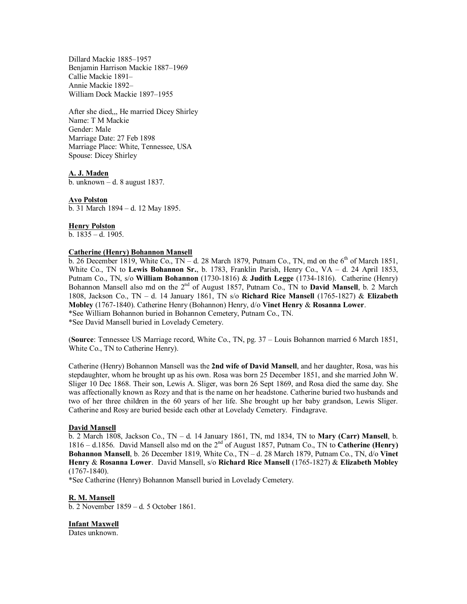Dillard Mackie 1885–1957 Benjamin Harrison Mackie 1887–1969 Callie Mackie 1891– Annie Mackie 1892– William Dock Mackie 1897–1955

After she died,,, He married Dicey Shirley Name: T M Mackie Gender: Male Marriage Date: 27 Feb 1898 Marriage Place: White, Tennessee, USA Spouse: Dicey Shirley

**A. J. Maden**

b. unknown – d. 8 august 1837.

**Avo Polston** b. 31 March 1894 – d. 12 May 1895.

**Henry Polston** b.  $1835 - d. 1905$ .

# **Catherine (Henry) Bohannon Mansell**

b. 26 December 1819, White Co.,  $TN - d$ . 28 March 1879, Putnam Co., TN, md on the  $6<sup>th</sup>$  of March 1851, White Co., TN to **Lewis Bohannon Sr.**, b. 1783, Franklin Parish, Henry Co., VA – d. 24 April 1853, Putnam Co., TN, s/o **William Bohannon** (1730-1816) & **Judith Legge** (1734-1816). Catherine (Henry) Bohannon Mansell also md on the 2<sup>nd</sup> of August 1857, Putnam Co., TN to **David Mansell**, b. 2 March 1808, Jackson Co., TN – d. 14 January 1861, TN s/o **Richard Rice Mansell** (1765-1827) & **Elizabeth Mobley** (1767-1840). Catherine Henry (Bohannon) Henry, d/o **Vinet Henry** & **Rosanna Lower**. \*See William Bohannon buried in Bohannon Cemetery, Putnam Co., TN. \*See David Mansell buried in Lovelady Cemetery.

(**Source**: Tennessee US Marriage record, White Co., TN, pg. 37 – Louis Bohannon married 6 March 1851, White Co., TN to Catherine Henry).

Catherine (Henry) Bohannon Mansell was the **2nd wife of David Mansell**, and her daughter, Rosa, was his stepdaughter, whom he brought up as his own. Rosa was born 25 December 1851, and she married John W. Sliger 10 Dec 1868. Their son, Lewis A. Sliger, was born 26 Sept 1869, and Rosa died the same day. She was affectionally known as Rozy and that is the name on her headstone. Catherine buried two husbands and two of her three children in the 60 years of her life. She brought up her baby grandson, Lewis Sliger. Catherine and Rosy are buried beside each other at Lovelady Cemetery. Findagrave.

#### **David Mansell**

b. 2 March 1808, Jackson Co., TN – d. 14 January 1861, TN, md 1834, TN to **Mary (Carr) Mansell**, b. 1816 – d.1856. David Mansell also md on the 2nd of August 1857, Putnam Co., TN to **Catherine (Henry) Bohannon Mansell**, b. 26 December 1819, White Co., TN – d. 28 March 1879, Putnam Co., TN, d/o **Vinet Henry** & **Rosanna Lower**. David Mansell, s/o **Richard Rice Mansell** (1765-1827) & **Elizabeth Mobley** (1767-1840).

\*See Catherine (Henry) Bohannon Mansell buried in Lovelady Cemetery.

# **R. M. Mansell**

b. 2 November 1859 – d. 5 October 1861.

**Infant Maxwell** Dates unknown.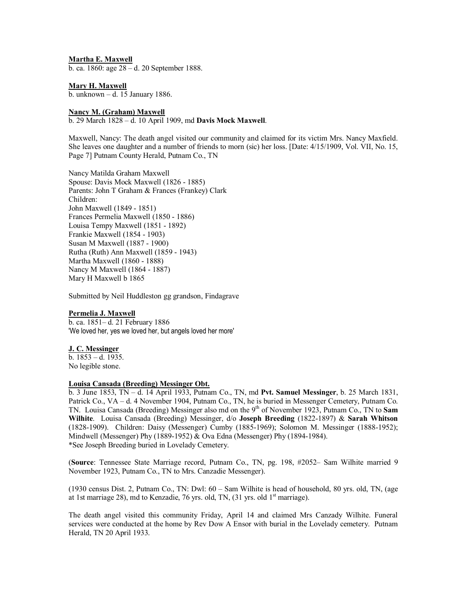**Martha E. Maxwell**

b. ca. 1860: age 28 – d. 20 September 1888.

**Mary H. Maxwell** b. unknown – d. 15 January 1886.

#### **Nancy M. (Graham) Maxwell**

b. 29 March 1828 – d. 10 April 1909, md **Davis Mock Maxwell**.

Maxwell, Nancy: The death angel visited our community and claimed for its victim Mrs. Nancy Maxfield. She leaves one daughter and a number of friends to morn (sic) her loss. [Date: 4/15/1909, Vol. VII, No. 15, Page 7] Putnam County Herald, Putnam Co., TN

Nancy Matilda Graham Maxwell Spouse: Davis Mock Maxwell (1826 - 1885) Parents: John T Graham & Frances (Frankey) Clark Children: John Maxwell (1849 - 1851) Frances Permelia Maxwell (1850 - 1886) Louisa Tempy Maxwell (1851 - 1892) Frankie Maxwell (1854 - 1903) Susan M Maxwell (1887 - 1900) Rutha (Ruth) Ann Maxwell (1859 - 1943) Martha Maxwell (1860 - 1888) Nancy M Maxwell (1864 - 1887) Mary H Maxwell b 1865

Submitted by Neil Huddleston gg grandson, Findagrave

#### **Permelia J. Maxwell**

b. ca. 1851– d. 21 February 1886 'We loved her, yes we loved her, but angels loved her more'

#### **J. C. Messinger**

b. 1853 – d. 1935. No legible stone.

#### **Louisa Cansada (Breeding) Messinger Obt.**

b. 3 June 1853, TN – d. 14 April 1933, Putnam Co., TN, md **Pvt. Samuel Messinger**, b. 25 March 1831, Patrick Co., VA – d. 4 November 1904, Putnam Co., TN, he is buried in Messenger Cemetery, Putnam Co. TN. Louisa Cansada (Breeding) Messinger also md on the 9<sup>th</sup> of November 1923, Putnam Co., TN to Sam **Wilhite**. Louisa Cansada (Breeding) Messinger, d/o **Joseph Breeding** (1822-1897) & **Sarah Whitson** (1828-1909). Children: Daisy (Messenger) Cumby (1885-1969); Solomon M. Messinger (1888-1952); Mindwell (Messenger) Phy (1889-1952) & Ova Edna (Messenger) Phy (1894-1984). \*See Joseph Breeding buried in Lovelady Cemetery.

(**Source**: Tennessee State Marriage record, Putnam Co., TN, pg. 198, #2052– Sam Wilhite married 9 November 1923, Putnam Co., TN to Mrs. Canzadie Messenger).

(1930 census Dist. 2, Putnam Co., TN: Dwl: 60 – Sam Wilhite is head of household, 80 yrs. old, TN, (age at 1st marriage 28), md to Kenzadie, 76 yrs. old, TN,  $(31 \text{ yrs. old } 1^{\text{st}} \text{ marriage})$ .

The death angel visited this community Friday, April 14 and claimed Mrs Canzady Wilhite. Funeral services were conducted at the home by Rev Dow A Ensor with burial in the Lovelady cemetery. Putnam Herald, TN 20 April 1933.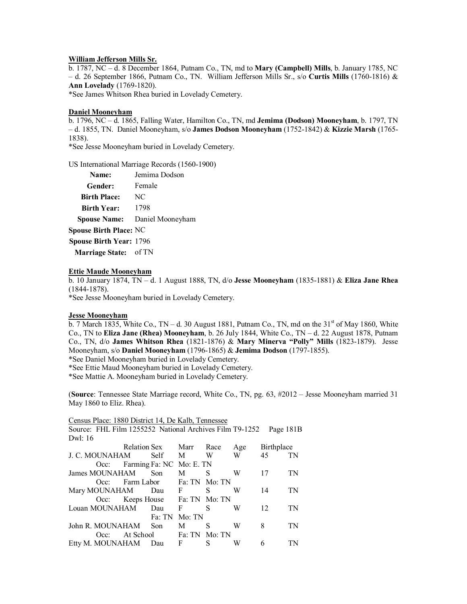#### **William Jefferson Mills Sr.**

b. 1787, NC – d. 8 December 1864, Putnam Co., TN, md to **Mary (Campbell) Mills**, b. January 1785, NC – d. 26 September 1866, Putnam Co., TN. William Jefferson Mills Sr., s/o **Curtis Mills** (1760-1816) & **Ann Lovelady** (1769-1820).

\*See James Whitson Rhea buried in Lovelady Cemetery.

#### **Daniel Mooneyham**

b. 1796, NC – d. 1865, Falling Water, Hamilton Co., TN, md **Jemima (Dodson) Mooneyham**, b. 1797, TN – d. 1855, TN. Daniel Mooneyham, s/o **James Dodson Mooneyham** (1752-1842) & **Kizzie Marsh** (1765- 1838).

\*See Jesse Mooneyham buried in Lovelady Cemetery.

US International Marriage Records (1560-1900)

| Name:                          | Jemima Dodson    |
|--------------------------------|------------------|
| Gender:                        | Female           |
| <b>Birth Place:</b>            | NC               |
| <b>Birth Year:</b>             | 1798             |
| <b>Spouse Name:</b>            | Daniel Mooneyham |
| <b>Spouse Birth Place: NC</b>  |                  |
| <b>Spouse Birth Year: 1796</b> |                  |
| Marriage State: of TN          |                  |

#### **Ettie Maude Mooneyham**

b. 10 January 1874, TN – d. 1 August 1888, TN, d/o **Jesse Mooneyham** (1835-1881) & **Eliza Jane Rhea** (1844-1878).

\*See Jesse Mooneyham buried in Lovelady Cemetery.

#### **Jesse Mooneyham**

b. 7 March 1835, White Co., TN – d. 30 August 1881, Putnam Co., TN, md on the  $31<sup>st</sup>$  of May 1860, White Co., TN to **Eliza Jane (Rhea) Mooneyham**, b. 26 July 1844, White Co., TN – d. 22 August 1878, Putnam Co., TN, d/o **James Whitson Rhea** (1821-1876) & **Mary Minerva "Polly" Mills** (1823-1879). Jesse Mooneyham, s/o **Daniel Mooneyham** (1796-1865) & **Jemima Dodson** (1797-1855).

\*See Daniel Mooneyham buried in Lovelady Cemetery.

\*See Ettie Maud Mooneyham buried in Lovelady Cemetery.

\*See Mattie A. Mooneyham buried in Lovelady Cemetery.

(**Source**: Tennessee State Marriage record, White Co., TN, pg. 63, #2012 – Jesse Mooneyham married 31 May 1860 to Eliz. Rhea).

| Census Place: 1880 District 14, De Kalb, Tennessee      |                                |                     |        |   |     |            |    |
|---------------------------------------------------------|--------------------------------|---------------------|--------|---|-----|------------|----|
| Source: FHL Film 1255252 National Archives Film T9-1252 |                                |                     |        |   |     | Page 181B  |    |
| Dwl: 16                                                 |                                |                     |        |   |     |            |    |
|                                                         | Relation Sex Marr Race         |                     |        |   | Age | Birthplace |    |
| J. C. MOUNAHAM                                          |                                | <b>Self</b>         | M      | W | W   | 45         | TN |
|                                                         | Occ: Farming Fa: NC Mo: E. TN  |                     |        |   |     |            |    |
| James MOUNAHAM                                          |                                | Son                 | M      | S | W   | 17         | TN |
| $Occ$ :                                                 | Farm Labor Fa: TN Mo: TN       |                     |        |   |     |            |    |
| Mary MOUNAHAM Dau F                                     |                                |                     |        | S | W   | 14         | TN |
|                                                         | Occ: Keeps House Fa: TN Mo: TN |                     |        |   |     |            |    |
| Louan MOUNAHAM                                          |                                | Dau                 | F      | S | W   | 12         | TN |
|                                                         |                                | Fa: TN              | Mo: TN |   |     |            |    |
| John R. MOUNAHAM                                        |                                | Son                 | M      | S | W   | 8          | TN |
| Occ:                                                    | At School Fa: TN Mo: TN        |                     |        |   |     |            |    |
| Etty M. MOUNAHAM                                        |                                | $\mathbf{F}$<br>Dau |        | S | W   | 6          |    |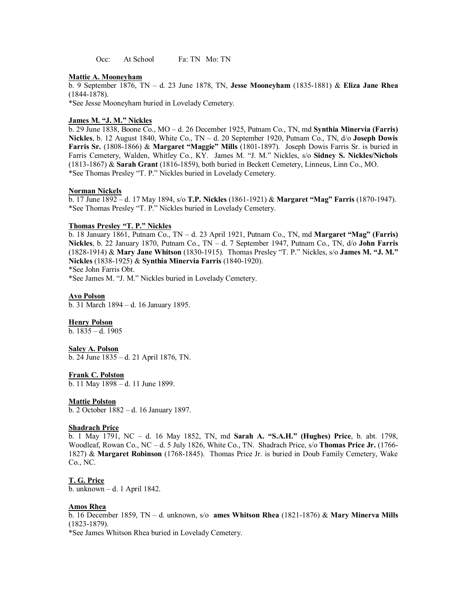Occ: At School Fa: TN Mo: TN

#### **Mattie A. Mooneyham**

b. 9 September 1876, TN – d. 23 June 1878, TN, **Jesse Mooneyham** (1835-1881) & **Eliza Jane Rhea** (1844-1878).

\*See Jesse Mooneyham buried in Lovelady Cemetery.

#### **James M. "J. M." Nickles**

b. 29 June 1838, Boone Co., MO – d. 26 December 1925, Putnam Co., TN, md **Synthia Minervia (Farris) Nickles**, b. 12 August 1840, White Co., TN – d. 20 September 1920, Putnam Co., TN, d/o **Joseph Dowis Farris Sr.** (1808-1866) & **Margaret "Maggie" Mills** (1801-1897). Joseph Dowis Farris Sr. is buried in Farris Cemetery, Walden, Whitley Co., KY. James M. "J. M." Nickles, s/o **Sidney S. Nickles/Nichols** (1813-1867) & **Sarah Grant** (1816-1859), both buried in Beckett Cemetery, Linneus, Linn Co., MO. \*See Thomas Presley "T. P." Nickles buried in Lovelady Cemetery.

#### **Norman Nickels**

b. 17 June 1892 – d. 17 May 1894, s/o **T.P. Nickles** (1861-1921) & **Margaret "Mag" Farris** (1870-1947). \*See Thomas Presley "T. P." Nickles buried in Lovelady Cemetery.

### **Thomas Presley "T. P." Nickles**

b. 18 January 1861, Putnam Co., TN – d. 23 April 1921, Putnam Co., TN, md **Margaret "Mag" (Farris) Nickles**, b. 22 January 1870, Putnam Co., TN – d. 7 September 1947, Putnam Co., TN, d/o **John Farris** (1828-1914) & **Mary Jane Whitson** (1830-1915). Thomas Presley "T. P." Nickles, s/o **James M. "J. M." Nickles** (1838-1925) & **Synthia Minervia Farris** (1840-1920).

\*See John Farris Obt.

\*See James M. "J. M." Nickles buried in Lovelady Cemetery.

#### **Avo Polson**

b. 31 March 1894 – d. 16 January 1895.

#### **Henry Polson**

b. 1835 – d. 1905

#### **Saley A. Polson**

b. 24 June 1835 – d. 21 April 1876, TN.

#### **Frank C. Polston**

b. 11 May 1898 – d. 11 June 1899.

#### **Mattie Polston**

b. 2 October 1882 – d. 16 January 1897.

#### **Shadrach Price**

b. 1 May 1791, NC – d. 16 May 1852, TN, md **Sarah A. "S.A.H." (Hughes) Price**, b. abt. 1798, Woodleaf, Rowan Co., NC – d. 5 July 1826, White Co., TN. Shadrach Price, s/o **Thomas Price Jr.** (1766- 1827) & **Margaret Robinson** (1768-1845). Thomas Price Jr. is buried in Doub Family Cemetery, Wake Co., NC.

#### **T. G. Price**

b. unknown – d. 1 April 1842.

#### **Amos Rhea**

b. 16 December 1859, TN – d. unknown, s/o **ames Whitson Rhea** (1821-1876) & **Mary Minerva Mills** (1823-1879).

\*See James Whitson Rhea buried in Lovelady Cemetery.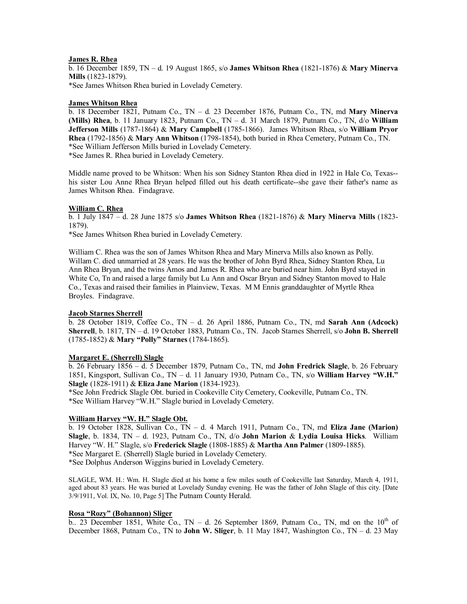#### **James R. Rhea**

b. 16 December 1859, TN – d. 19 August 1865, s/o **James Whitson Rhea** (1821-1876) & **Mary Minerva Mills** (1823-1879). \*See James Whitson Rhea buried in Lovelady Cemetery.

# **James Whitson Rhea**

b. 18 December 1821, Putnam Co., TN – d. 23 December 1876, Putnam Co., TN, md **Mary Minerva (Mills) Rhea**, b. 11 January 1823, Putnam Co., TN – d. 31 March 1879, Putnam Co., TN, d/o **William Jefferson Mills** (1787-1864) & **Mary Campbell** (1785-1866). James Whitson Rhea, s/o **William Pryor Rhea** (1792-1856) & **Mary Ann Whitson** (1798-1854), both buried in Rhea Cemetery, Putnam Co., TN. \*See William Jefferson Mills buried in Lovelady Cemetery.

\*See James R. Rhea buried in Lovelady Cemetery.

Middle name proved to be Whitson: When his son Sidney Stanton Rhea died in 1922 in Hale Co, Texas- his sister Lou Anne Rhea Bryan helped filled out his death certificate--she gave their father's name as James Whitson Rhea. Findagrave.

#### **William C. Rhea**

b. 1 July 1847 – d. 28 June 1875 s/o **James Whitson Rhea** (1821-1876) & **Mary Minerva Mills** (1823- 1879).

\*See James Whitson Rhea buried in Lovelady Cemetery.

William C. Rhea was the son of James Whitson Rhea and Mary Minerva Mills also known as Polly. Willam C. died unmarried at 28 years. He was the brother of John Byrd Rhea, Sidney Stanton Rhea, Lu Ann Rhea Bryan, and the twins Amos and James R. Rhea who are buried near him. John Byrd stayed in White Co, Tn and raised a large family but Lu Ann and Oscar Bryan and Sidney Stanton moved to Hale Co., Texas and raised their families in Plainview, Texas. M M Ennis granddaughter of Myrtle Rhea Broyles. Findagrave.

#### **Jacob Starnes Sherrell**

b. 28 October 1819, Coffee Co., TN – d. 26 April 1886, Putnam Co., TN, md **Sarah Ann (Adcock) Sherrell**, b. 1817, TN – d. 19 October 1883, Putnam Co., TN. Jacob Starnes Sherrell, s/o **John B. Sherrell** (1785-1852) & **Mary "Polly" Starnes** (1784-1865).

#### **Margaret E. (Sherrell) Slagle**

b. 26 February 1856 – d. 5 December 1879, Putnam Co., TN, md **John Fredrick Slagle**, b. 26 February 1851, Kingsport, Sullivan Co., TN – d. 11 January 1930, Putnam Co., TN, s/o **William Harvey "W.H." Slagle** (1828-1911) & **Eliza Jane Marion** (1834-1923).

\*See John Fredrick Slagle Obt. buried in Cookeville City Cemetery, Cookeville, Putnam Co., TN. \*See William Harvey "W.H." Slagle buried in Lovelady Cemetery.

# **William Harvey "W. H." Slagle Obt.**

b. 19 October 1828, Sullivan Co., TN – d. 4 March 1911, Putnam Co., TN, md **Eliza Jane (Marion) Slagle**, b. 1834, TN – d. 1923, Putnam Co., TN, d/o **John Marion** & **Lydia Louisa Hicks**. William Harvey "W. H." Slagle, s/o **Frederick Slagle** (1808-1885) & **Martha Ann Palmer** (1809-1885). \*See Margaret E. (Sherrell) Slagle buried in Lovelady Cemetery.

\*See Dolphus Anderson Wiggins buried in Lovelady Cemetery.

SLAGLE, WM. H.: Wm. H. Slagle died at his home a few miles south of Cookeville last Saturday, March 4, 1911, aged about 83 years. He was buried at Lovelady Sunday evening. He was the father of John Slagle of this city. [Date 3/9/1911, Vol. IX, No. 10, Page 5] The Putnam County Herald.

# **Rosa "Rozy" (Bohannon) Sliger**

b.. 23 December 1851, White Co., TN – d. 26 September 1869, Putnam Co., TN, md on the  $10<sup>th</sup>$  of December 1868, Putnam Co., TN to **John W. Sliger**, b. 11 May 1847, Washington Co., TN – d. 23 May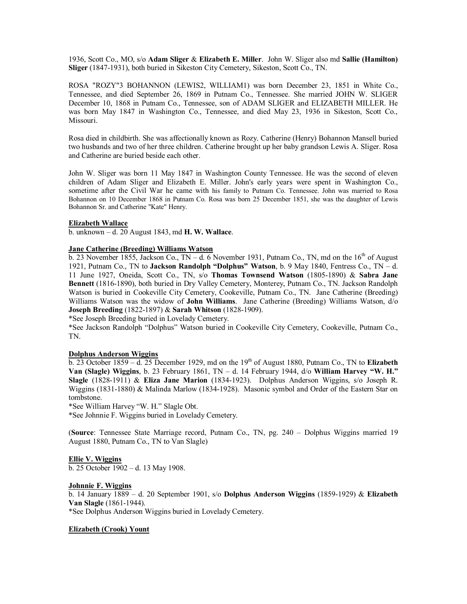1936, Scott Co., MO, s/o **Adam Sliger** & **Elizabeth E. Miller**. John W. Sliger also md **Sallie (Hamilton) Sliger** (1847-1931), both buried in Sikeston City Cemetery, Sikeston, Scott Co., TN.

ROSA "ROZY"3 BOHANNON (LEWIS2, WILLIAM1) was born December 23, 1851 in White Co., Tennessee, and died September 26, 1869 in Putnam Co., Tennessee. She married JOHN W. SLIGER December 10, 1868 in Putnam Co., Tennessee, son of ADAM SLIGER and ELIZABETH MILLER. He was born May 1847 in Washington Co., Tennessee, and died May 23, 1936 in Sikeston, Scott Co., Missouri.

Rosa died in childbirth. She was affectionally known as Rozy. Catherine (Henry) Bohannon Mansell buried two husbands and two of her three children. Catherine brought up her baby grandson Lewis A. Sliger. Rosa and Catherine are buried beside each other.

John W. Sliger was born 11 May 1847 in Washington County Tennessee. He was the second of eleven children of Adam Sliger and Elizabeth E. Miller. John's early years were spent in Washington Co., sometime after the Civil War he came with his family to Putnam Co. Tennessee. John was married to Rosa Bohannon on 10 December 1868 in Putnam Co. Rosa was born 25 December 1851, she was the daughter of Lewis Bohannon Sr. and Catherine "Kate" Henry.

#### **Elizabeth Wallace**

b. unknown – d. 20 August 1843, md **H. W. Wallace**.

#### **Jane Catherine (Breeding) Williams Watson**

b. 23 November 1855, Jackson Co., TN – d. 6 November 1931, Putnam Co., TN, md on the  $16<sup>th</sup>$  of August 1921, Putnam Co., TN to **Jackson Randolph "Dolphus" Watson**, b. 9 May 1840, Fentress Co., TN – d. 11 June 1927, Oneida, Scott Co., TN, s/o **Thomas Townsend Watson** (1805-1890) & **Sabra Jane Bennett** (1816-1890), both buried in Dry Valley Cemetery, Monterey, Putnam Co., TN. Jackson Randolph Watson is buried in Cookeville City Cemetery, Cookeville, Putnam Co., TN. Jane Catherine (Breeding) Williams Watson was the widow of **John Williams**. Jane Catherine (Breeding) Williams Watson, d/o **Joseph Breeding** (1822-1897) & **Sarah Whitson** (1828-1909).

\*See Joseph Breeding buried in Lovelady Cemetery.

\*See Jackson Randolph "Dolphus" Watson buried in Cookeville City Cemetery, Cookeville, Putnam Co., TN.

#### **Dolphus Anderson Wiggins**

 $\overline{b}$ . 23 October 1859 – d. 25 December 1929, md on the 19<sup>th</sup> of August 1880, Putnam Co., TN to **Elizabeth Van (Slagle) Wiggins**, b. 23 February 1861, TN – d. 14 February 1944, d/o **William Harvey "W. H." Slagle** (1828-1911) & **Eliza Jane Marion** (1834-1923). Dolphus Anderson Wiggins, s/o Joseph R. Wiggins (1831-1880) & Malinda Marlow (1834-1928). Masonic symbol and Order of the Eastern Star on tombstone.

\*See William Harvey "W. H." Slagle Obt.

\*See Johnnie F. Wiggins buried in Lovelady Cemetery.

(**Source**: Tennessee State Marriage record, Putnam Co., TN, pg. 240 – Dolphus Wiggins married 19 August 1880, Putnam Co., TN to Van Slagle)

#### **Ellie V. Wiggins**

b. 25 October 1902 – d. 13 May 1908.

#### **Johnnie F. Wiggins**

b. 14 January 1889 – d. 20 September 1901, s/o **Dolphus Anderson Wiggins** (1859-1929) & **Elizabeth Van Slagle** (1861-1944). \*See Dolphus Anderson Wiggins buried in Lovelady Cemetery.

#### **Elizabeth (Crook) Yount**